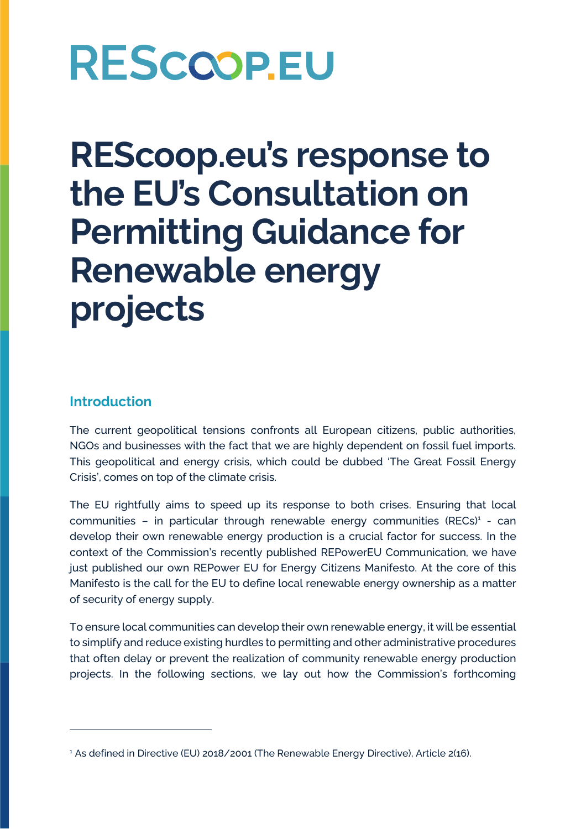**REScoop.eu's response to the EU's Consultation on Permitting Guidance for Renewable energy projects**

### **Introduction**

The current geopolitical tensions confronts all European citizens, public authorities, NGOs and businesses with the fact that we are highly dependent on fossil fuel imports. This geopolitical and energy crisis, which could be dubbed 'The Great Fossil Energy Crisis', comes on top of the climate crisis.

The EU rightfully aims to speed up its response to both crises. Ensuring that local communities - in particular through renewable energy communities (RECs)<sup>1</sup> - can develop their own renewable energy production is a crucial factor for success. In the context of the Commission's recently published REPowerEU Communication, we have just published our own REPower EU for Energy Citizens Manifesto. At the core of this Manifesto is the call for the EU to define local renewable energy ownership as a matter of security of energy supply.

To ensure local communities can develop their own renewable energy, it will be essential to simplify and reduce existing hurdles to permitting and other administrative procedures that often delay or prevent the realization of community renewable energy production projects. In the following sections, we lay out how the Commission's forthcoming

<sup>&</sup>lt;sup>1</sup> As defined in Directive (EU) 2018/2001 (The Renewable Energy Directive), Article 2(16).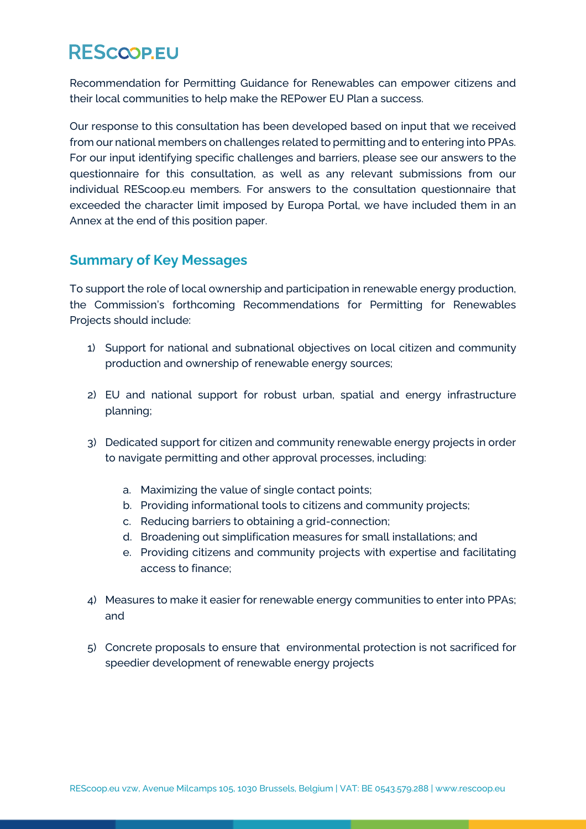Recommendation for Permitting Guidance for Renewables can empower citizens and their local communities to help make the REPower EU Plan a success.

Our response to this consultation has been developed based on input that we received from our national members on challenges related to permitting and to entering into PPAs. For our input identifying specific challenges and barriers, please see our answers to the questionnaire for this consultation, as well as any relevant submissions from our individual REScoop.eu members. For answers to the consultation questionnaire that exceeded the character limit imposed by Europa Portal, we have included them in an Annex at the end of this position paper.

### **Summary of Key Messages**

To support the role of local ownership and participation in renewable energy production, the Commission's forthcoming Recommendations for Permitting for Renewables Projects should include:

- 1) Support for national and subnational objectives on local citizen and community production and ownership of renewable energy sources;
- 2) EU and national support for robust urban, spatial and energy infrastructure planning;
- 3) Dedicated support for citizen and community renewable energy projects in order to navigate permitting and other approval processes, including:
	- a. Maximizing the value of single contact points;
	- b. Providing informational tools to citizens and community projects;
	- c. Reducing barriers to obtaining a grid-connection;
	- d. Broadening out simplification measures for small installations; and
	- e. Providing citizens and community projects with expertise and facilitating access to finance;
- 4) Measures to make it easier for renewable energy communities to enter into PPAs; and
- 5) Concrete proposals to ensure that environmental protection is not sacrificed for speedier development of renewable energy projects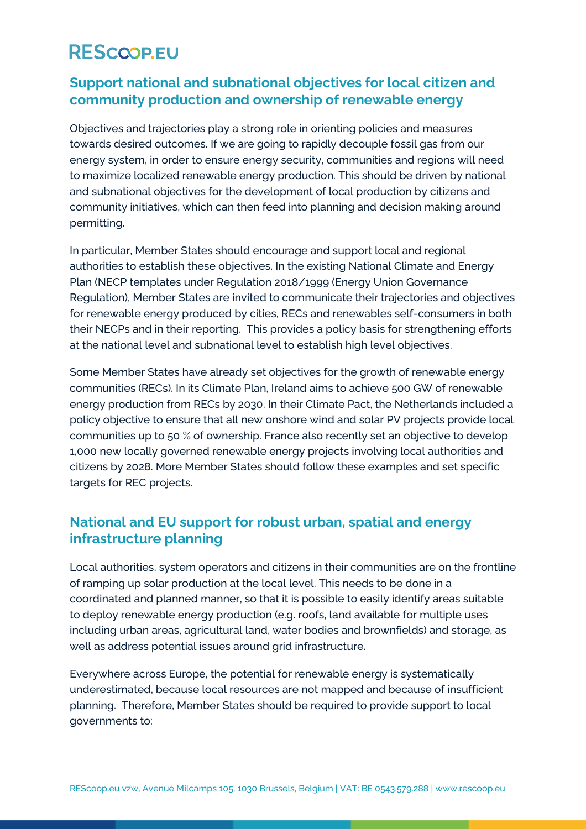### **Support national and subnational objectives for local citizen and community production and ownership of renewable energy**

Objectives and trajectories play a strong role in orienting policies and measures towards desired outcomes. If we are going to rapidly decouple fossil gas from our energy system, in order to ensure energy security, communities and regions will need to maximize localized renewable energy production. This should be driven by national and subnational objectives for the development of local production by citizens and community initiatives, which can then feed into planning and decision making around permitting.

In particular, Member States should encourage and support local and regional authorities to establish these objectives. In the existing National Climate and Energy Plan (NECP templates under Regulation 2018/1999 (Energy Union Governance Regulation), Member States are invited to communicate their trajectories and objectives for renewable energy produced by cities, RECs and renewables self-consumers in both their NECPs and in their reporting. This provides a policy basis for strengthening efforts at the national level and subnational level to establish high level objectives.

Some Member States have already set objectives for the growth of renewable energy communities (RECs). In its Climate Plan, Ireland aims to achieve 500 GW of renewable energy production from RECs by 2030. In their Climate Pact, the Netherlands included a policy objective to ensure that all new onshore wind and solar PV projects provide local communities up to 50 % of ownership. France also recently set an objective to develop 1,000 new locally governed renewable energy projects involving local authorities and citizens by 2028. More Member States should follow these examples and set specific targets for REC projects.

### **National and EU support for robust urban, spatial and energy infrastructure planning**

Local authorities, system operators and citizens in their communities are on the frontline of ramping up solar production at the local level. This needs to be done in a coordinated and planned manner, so that it is possible to easily identify areas suitable to deploy renewable energy production (e.g. roofs, land available for multiple uses including urban areas, agricultural land, water bodies and brownfields) and storage, as well as address potential issues around grid infrastructure.

Everywhere across Europe, the potential for renewable energy is systematically underestimated, because local resources are not mapped and because of insufficient planning. Therefore, Member States should be required to provide support to local governments to: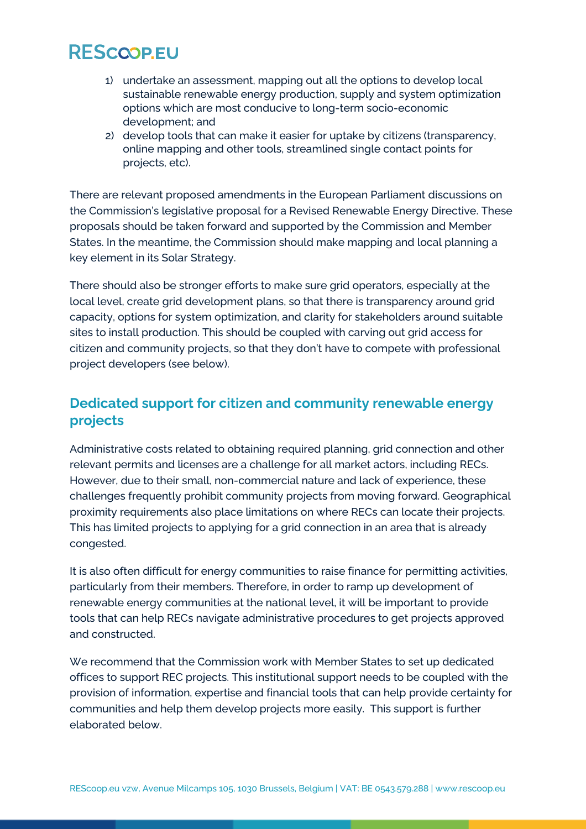- 1) undertake an assessment, mapping out all the options to develop local sustainable renewable energy production, supply and system optimization options which are most conducive to long-term socio-economic development; and
- 2) develop tools that can make it easier for uptake by citizens (transparency, online mapping and other tools, streamlined single contact points for projects, etc).

There are relevant proposed amendments in the European Parliament discussions on the Commission's legislative proposal for a Revised Renewable Energy Directive. These proposals should be taken forward and supported by the Commission and Member States. In the meantime, the Commission should make mapping and local planning a key element in its Solar Strategy.

There should also be stronger efforts to make sure grid operators, especially at the local level, create grid development plans, so that there is transparency around grid capacity, options for system optimization, and clarity for stakeholders around suitable sites to install production. This should be coupled with carving out grid access for citizen and community projects, so that they don't have to compete with professional project developers (see below).

### **Dedicated support for citizen and community renewable energy projects**

Administrative costs related to obtaining required planning, grid connection and other relevant permits and licenses are a challenge for all market actors, including RECs. However, due to their small, non-commercial nature and lack of experience, these challenges frequently prohibit community projects from moving forward. Geographical proximity requirements also place limitations on where RECs can locate their projects. This has limited projects to applying for a grid connection in an area that is already congested.

It is also often difficult for energy communities to raise finance for permitting activities, particularly from their members. Therefore, in order to ramp up development of renewable energy communities at the national level, it will be important to provide tools that can help RECs navigate administrative procedures to get projects approved and constructed.

We recommend that the Commission work with Member States to set up dedicated offices to support REC projects. This institutional support needs to be coupled with the provision of information, expertise and financial tools that can help provide certainty for communities and help them develop projects more easily. This support is further elaborated below.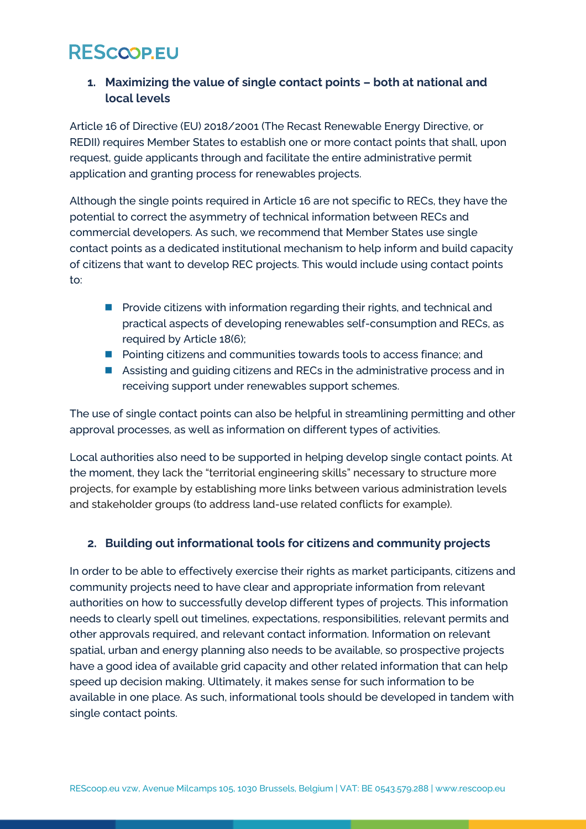### **1. Maximizing the value of single contact points – both at national and local levels**

Article 16 of Directive (EU) 2018/2001 (The Recast Renewable Energy Directive, or REDII) requires Member States to establish one or more contact points that shall, upon request, guide applicants through and facilitate the entire administrative permit application and granting process for renewables projects.

Although the single points required in Article 16 are not specific to RECs, they have the potential to correct the asymmetry of technical information between RECs and commercial developers. As such, we recommend that Member States use single contact points as a dedicated institutional mechanism to help inform and build capacity of citizens that want to develop REC projects. This would include using contact points to:

- Provide citizens with information regarding their rights, and technical and practical aspects of developing renewables self-consumption and RECs, as required by Article 18(6);
- Pointing citizens and communities towards tools to access finance; and
- Assisting and guiding citizens and RECs in the administrative process and in receiving support under renewables support schemes.

The use of single contact points can also be helpful in streamlining permitting and other approval processes, as well as information on different types of activities.

Local authorities also need to be supported in helping develop single contact points. At the moment, they lack the "territorial engineering skills" necessary to structure more projects, for example by establishing more links between various administration levels and stakeholder groups (to address land-use related conflicts for example).

#### **2. Building out informational tools for citizens and community projects**

In order to be able to effectively exercise their rights as market participants, citizens and community projects need to have clear and appropriate information from relevant authorities on how to successfully develop different types of projects. This information needs to clearly spell out timelines, expectations, responsibilities, relevant permits and other approvals required, and relevant contact information. Information on relevant spatial, urban and energy planning also needs to be available, so prospective projects have a good idea of available grid capacity and other related information that can help speed up decision making. Ultimately, it makes sense for such information to be available in one place. As such, informational tools should be developed in tandem with single contact points.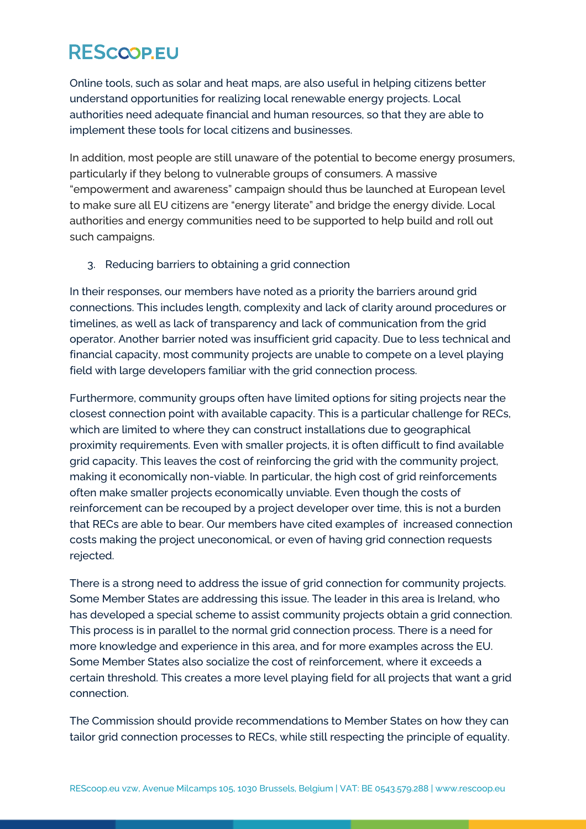Online tools, such as solar and heat maps, are also useful in helping citizens better understand opportunities for realizing local renewable energy projects. Local authorities need adequate financial and human resources, so that they are able to implement these tools for local citizens and businesses.

In addition, most people are still unaware of the potential to become energy prosumers, particularly if they belong to vulnerable groups of consumers. A massive "empowerment and awareness" campaign should thus be launched at European level to make sure all EU citizens are "energy literate" and bridge the energy divide. Local authorities and energy communities need to be supported to help build and roll out such campaigns.

3. Reducing barriers to obtaining a grid connection

In their responses, our members have noted as a priority the barriers around grid connections. This includes length, complexity and lack of clarity around procedures or timelines, as well as lack of transparency and lack of communication from the grid operator. Another barrier noted was insufficient grid capacity. Due to less technical and financial capacity, most community projects are unable to compete on a level playing field with large developers familiar with the grid connection process.

Furthermore, community groups often have limited options for siting projects near the closest connection point with available capacity. This is a particular challenge for RECs, which are limited to where they can construct installations due to geographical proximity requirements. Even with smaller projects, it is often difficult to find available grid capacity. This leaves the cost of reinforcing the grid with the community project, making it economically non-viable. In particular, the high cost of grid reinforcements often make smaller projects economically unviable. Even though the costs of reinforcement can be recouped by a project developer over time, this is not a burden that RECs are able to bear. Our members have cited examples of increased connection costs making the project uneconomical, or even of having grid connection requests rejected.

There is a strong need to address the issue of grid connection for community projects. Some Member States are addressing this issue. The leader in this area is Ireland, who has developed a special scheme to assist community projects obtain a grid connection. This process is in parallel to the normal grid connection process. There is a need for more knowledge and experience in this area, and for more examples across the EU. Some Member States also socialize the cost of reinforcement, where it exceeds a certain threshold. This creates a more level playing field for all projects that want a grid connection.

The Commission should provide recommendations to Member States on how they can tailor grid connection processes to RECs, while still respecting the principle of equality.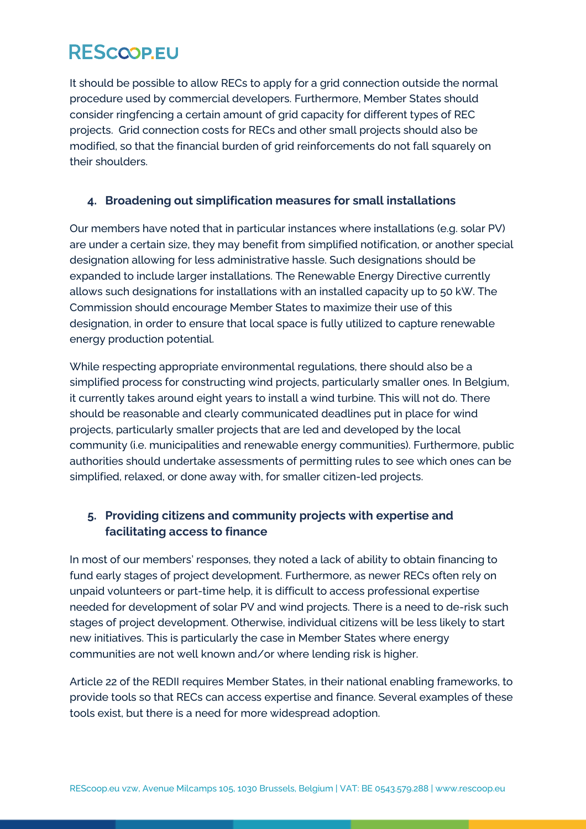It should be possible to allow RECs to apply for a grid connection outside the normal procedure used by commercial developers. Furthermore, Member States should consider ringfencing a certain amount of grid capacity for different types of REC projects. Grid connection costs for RECs and other small projects should also be modified, so that the financial burden of grid reinforcements do not fall squarely on their shoulders.

#### **4. Broadening out simplification measures for small installations**

Our members have noted that in particular instances where installations (e.g. solar PV) are under a certain size, they may benefit from simplified notification, or another special designation allowing for less administrative hassle. Such designations should be expanded to include larger installations. The Renewable Energy Directive currently allows such designations for installations with an installed capacity up to 50 kW. The Commission should encourage Member States to maximize their use of this designation, in order to ensure that local space is fully utilized to capture renewable energy production potential.

While respecting appropriate environmental regulations, there should also be a simplified process for constructing wind projects, particularly smaller ones. In Belgium, it currently takes around eight years to install a wind turbine. This will not do. There should be reasonable and clearly communicated deadlines put in place for wind projects, particularly smaller projects that are led and developed by the local community (i.e. municipalities and renewable energy communities). Furthermore, public authorities should undertake assessments of permitting rules to see which ones can be simplified, relaxed, or done away with, for smaller citizen-led projects.

### **5. Providing citizens and community projects with expertise and facilitating access to finance**

In most of our members' responses, they noted a lack of ability to obtain financing to fund early stages of project development. Furthermore, as newer RECs often rely on unpaid volunteers or part-time help, it is difficult to access professional expertise needed for development of solar PV and wind projects. There is a need to de-risk such stages of project development. Otherwise, individual citizens will be less likely to start new initiatives. This is particularly the case in Member States where energy communities are not well known and/or where lending risk is higher.

Article 22 of the REDII requires Member States, in their national enabling frameworks, to provide tools so that RECs can access expertise and finance. Several examples of these tools exist, but there is a need for more widespread adoption.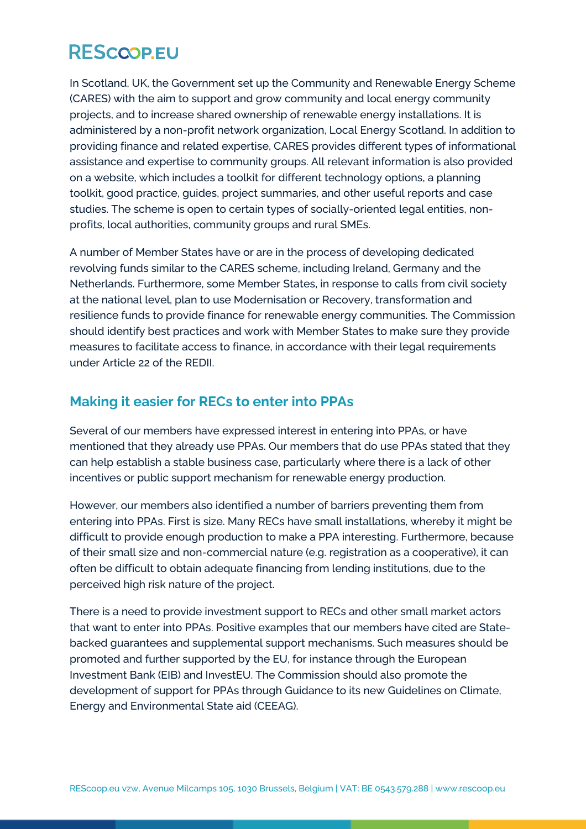In Scotland, UK, the Government set up the Community and Renewable Energy Scheme (CARES) with the aim to support and grow community and local energy community projects, and to increase shared ownership of renewable energy installations. It is administered by a non-profit network organization, Local Energy Scotland. In addition to providing finance and related expertise, CARES provides different types of informational assistance and expertise to community groups. All relevant information is also provided on a website, which includes a toolkit for different technology options, a planning toolkit, good practice, guides, project summaries, and other useful reports and case studies. The scheme is open to certain types of socially-oriented legal entities, nonprofits, local authorities, community groups and rural SMEs.

A number of Member States have or are in the process of developing dedicated revolving funds similar to the CARES scheme, including Ireland, Germany and the Netherlands. Furthermore, some Member States, in response to calls from civil society at the national level, plan to use Modernisation or Recovery, transformation and resilience funds to provide finance for renewable energy communities. The Commission should identify best practices and work with Member States to make sure they provide measures to facilitate access to finance, in accordance with their legal requirements under Article 22 of the REDII.

### **Making it easier for RECs to enter into PPAs**

Several of our members have expressed interest in entering into PPAs, or have mentioned that they already use PPAs. Our members that do use PPAs stated that they can help establish a stable business case, particularly where there is a lack of other incentives or public support mechanism for renewable energy production.

However, our members also identified a number of barriers preventing them from entering into PPAs. First is size. Many RECs have small installations, whereby it might be difficult to provide enough production to make a PPA interesting. Furthermore, because of their small size and non-commercial nature (e.g. registration as a cooperative), it can often be difficult to obtain adequate financing from lending institutions, due to the perceived high risk nature of the project.

There is a need to provide investment support to RECs and other small market actors that want to enter into PPAs. Positive examples that our members have cited are Statebacked guarantees and supplemental support mechanisms. Such measures should be promoted and further supported by the EU, for instance through the European Investment Bank (EIB) and InvestEU. The Commission should also promote the development of support for PPAs through Guidance to its new Guidelines on Climate, Energy and Environmental State aid (CEEAG).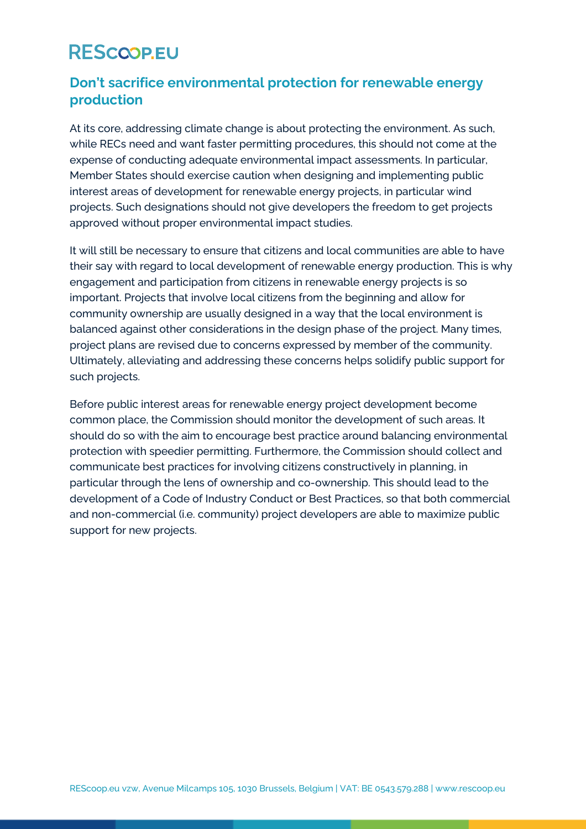### **Don't sacrifice environmental protection for renewable energy production**

At its core, addressing climate change is about protecting the environment. As such, while RECs need and want faster permitting procedures, this should not come at the expense of conducting adequate environmental impact assessments. In particular, Member States should exercise caution when designing and implementing public interest areas of development for renewable energy projects, in particular wind projects. Such designations should not give developers the freedom to get projects approved without proper environmental impact studies.

It will still be necessary to ensure that citizens and local communities are able to have their say with regard to local development of renewable energy production. This is why engagement and participation from citizens in renewable energy projects is so important. Projects that involve local citizens from the beginning and allow for community ownership are usually designed in a way that the local environment is balanced against other considerations in the design phase of the project. Many times, project plans are revised due to concerns expressed by member of the community. Ultimately, alleviating and addressing these concerns helps solidify public support for such projects.

Before public interest areas for renewable energy project development become common place, the Commission should monitor the development of such areas. It should do so with the aim to encourage best practice around balancing environmental protection with speedier permitting. Furthermore, the Commission should collect and communicate best practices for involving citizens constructively in planning, in particular through the lens of ownership and co-ownership. This should lead to the development of a Code of Industry Conduct or Best Practices, so that both commercial and non-commercial (i.e. community) project developers are able to maximize public support for new projects.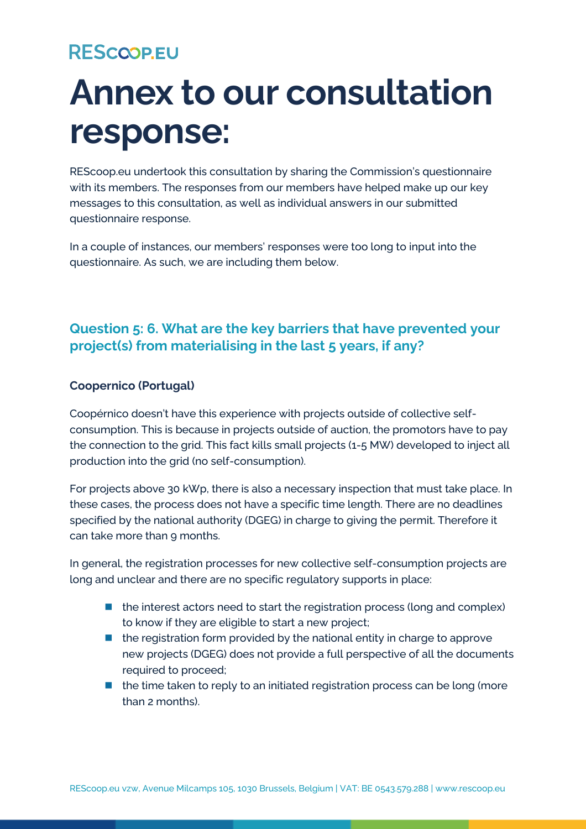## **Annex to our consultation response:**

REScoop.eu undertook this consultation by sharing the Commission's questionnaire with its members. The responses from our members have helped make up our key messages to this consultation, as well as individual answers in our submitted questionnaire response.

In a couple of instances, our members' responses were too long to input into the questionnaire. As such, we are including them below.

### **Question 5: 6. What are the key barriers that have prevented your project(s) from materialising in the last 5 years, if any?**

#### **Coopernico (Portugal)**

Coopérnico doesn't have this experience with projects outside of collective selfconsumption. This is because in projects outside of auction, the promotors have to pay the connection to the grid. This fact kills small projects (1-5 MW) developed to inject all production into the grid (no self-consumption).

For projects above 30 kWp, there is also a necessary inspection that must take place. In these cases, the process does not have a specific time length. There are no deadlines specified by the national authority (DGEG) in charge to giving the permit. Therefore it can take more than 9 months.

In general, the registration processes for new collective self-consumption projects are long and unclear and there are no specific regulatory supports in place:

- $\blacksquare$  the interest actors need to start the registration process (long and complex) to know if they are eligible to start a new project;
- $\blacksquare$  the registration form provided by the national entity in charge to approve new projects (DGEG) does not provide a full perspective of all the documents required to proceed;
- the time taken to reply to an initiated registration process can be long (more than 2 months).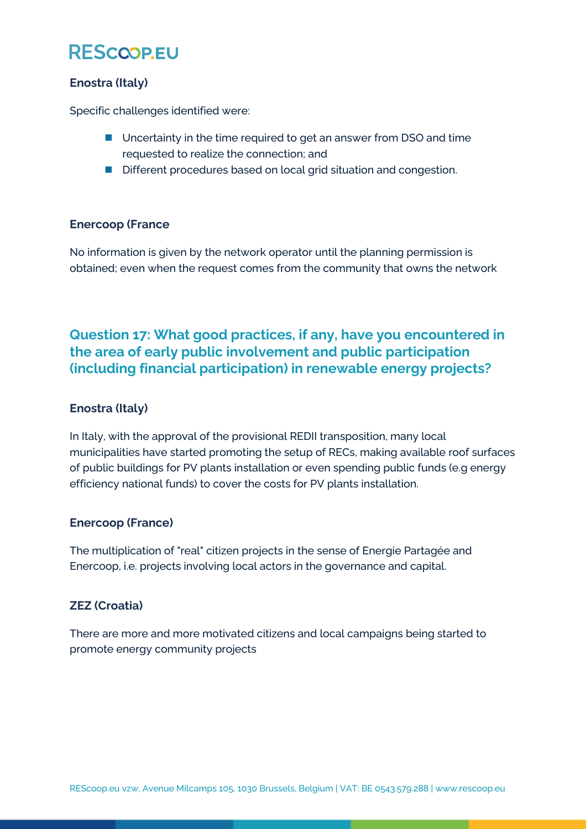#### **Enostra (Italy)**

Specific challenges identified were:

- Uncertainty in the time required to get an answer from DSO and time requested to realize the connection; and
- Different procedures based on local grid situation and congestion.

#### **Enercoop (France**

No information is given by the network operator until the planning permission is obtained; even when the request comes from the community that owns the network

### **Question 17: What good practices, if any, have you encountered in the area of early public involvement and public participation (including financial participation) in renewable energy projects?**

#### **Enostra (Italy)**

In Italy, with the approval of the provisional REDII transposition, many local municipalities have started promoting the setup of RECs, making available roof surfaces of public buildings for PV plants installation or even spending public funds (e.g energy efficiency national funds) to cover the costs for PV plants installation.

#### **Enercoop (France)**

The multiplication of "real" citizen projects in the sense of Energie Partagée and Enercoop, i.e. projects involving local actors in the governance and capital.

#### **ZEZ (Croatia)**

There are more and more motivated citizens and local campaigns being started to promote energy community projects